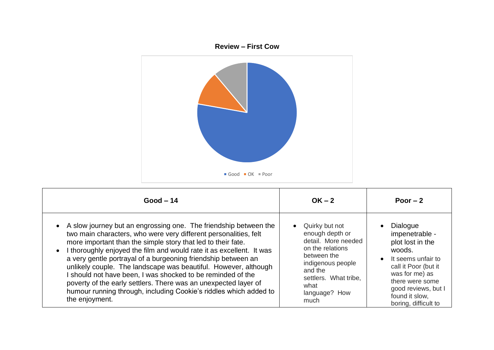

| $Good - 14$                                                                                                                                                                                                                                                                                                                                                                                                                                                                                                                                                                                                                             | $OK - 2$                                                                                                                                                                              | Poor $-2$                                                                                                                                                                                                    |
|-----------------------------------------------------------------------------------------------------------------------------------------------------------------------------------------------------------------------------------------------------------------------------------------------------------------------------------------------------------------------------------------------------------------------------------------------------------------------------------------------------------------------------------------------------------------------------------------------------------------------------------------|---------------------------------------------------------------------------------------------------------------------------------------------------------------------------------------|--------------------------------------------------------------------------------------------------------------------------------------------------------------------------------------------------------------|
| A slow journey but an engrossing one. The friendship between the<br>two main characters, who were very different personalities, felt<br>more important than the simple story that led to their fate.<br>I thoroughly enjoyed the film and would rate it as excellent. It was<br>a very gentle portrayal of a burgeoning friendship between an<br>unlikely couple. The landscape was beautiful. However, although<br>should not have been, I was shocked to be reminded of the<br>poverty of the early settlers. There was an unexpected layer of<br>humour running through, including Cookie's riddles which added to<br>the enjoyment. | Quirky but not<br>enough depth or<br>detail. More needed<br>on the relations<br>between the<br>indigenous people<br>and the<br>settlers. What tribe,<br>what<br>language? How<br>much | Dialogue<br>impenetrable -<br>plot lost in the<br>woods.<br>It seems unfair to<br>call it Poor (but it<br>was for me) as<br>there were some<br>good reviews, but I<br>found it slow.<br>boring, difficult to |